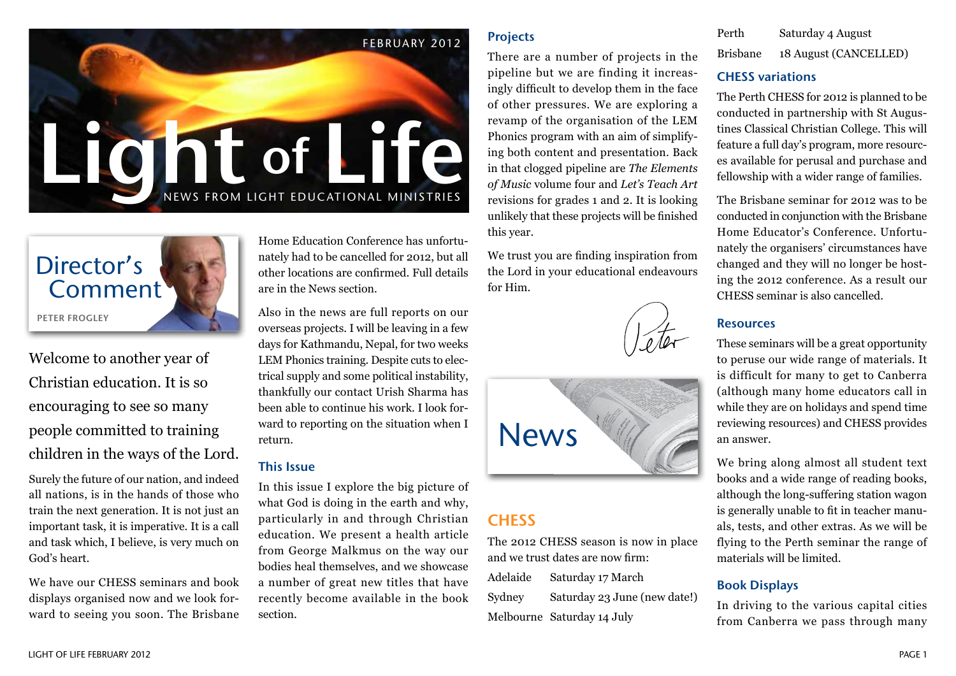



Welcome to another year of Christian education. It is so encouraging to see so many people committed to training children in the ways of the Lord.

Surely the future of our nation, and indeed all nations, is in the hands of those who train the next generation. It is not just an important task, it is imperative. It is a call and task which, I believe, is very much on God's heart.

We have our CHESS seminars and book displays organised now and we look forward to seeing you soon. The Brisbane

Home Education Conference has unfortunately had to be cancelled for 2012, but all other locations are confirmed. Full details are in the News section.

Also in the news are full reports on our overseas projects. I will be leaving in a few days for Kathmandu, Nepal, for two weeks LEM Phonics training. Despite cuts to electrical supply and some political instability, thankfully our contact Urish Sharma has been able to continue his work. I look forward to reporting on the situation when I return.

#### This Issue

In this issue I explore the big picture of what God is doing in the earth and why, particularly in and through Christian education. We present a health article from George Malkmus on the way our bodies heal themselves, and we showcase a number of great new titles that have recently become available in the book section.

#### Projects

There are a number of projects in the pipeline but we are finding it increasingly difficult to develop them in the face of other pressures. We are exploring a revamp of the organisation of the LEM Phonics program with an aim of simplifying both content and presentation. Back in that clogged pipeline are *The Elements of Music* volume four and *Let's Teach Art* revisions for grades 1 and 2. It is looking unlikely that these projects will be finished this year.

We trust you are finding inspiration from the Lord in your educational endeavours for Him.





## **CHESS**

The 2012 CHESS season is now in place and we trust dates are now firm: Adelaide Saturday 17 March Sydney Saturday 23 June (new date!)

Melbourne Saturday 14 July

| Perth           | Saturday 4 August     |
|-----------------|-----------------------|
| <b>Brisbane</b> | 18 August (CANCELLED) |

#### CHESS variations

The Perth CHESS for 2012 is planned to be conducted in partnership with St Augustines Classical Christian College. This will feature a full day's program, more resources available for perusal and purchase and fellowship with a wider range of families.

The Brisbane seminar for 2012 was to be conducted in conjunction with the Brisbane Home Educator's Conference. Unfortunately the organisers' circumstances have changed and they will no longer be hosting the 2012 conference. As a result our CHESS seminar is also cancelled.

#### Resources

These seminars will be a great opportunity to peruse our wide range of materials. It is difficult for many to get to Canberra (although many home educators call in while they are on holidays and spend time reviewing resources) and CHESS provides an answer.

We bring along almost all student text books and a wide range of reading books, although the long-suffering station wagon is generally unable to fit in teacher manuals, tests, and other extras. As we will be flying to the Perth seminar the range of materials will be limited.

#### Book Displays

In driving to the various capital cities from Canberra we pass through many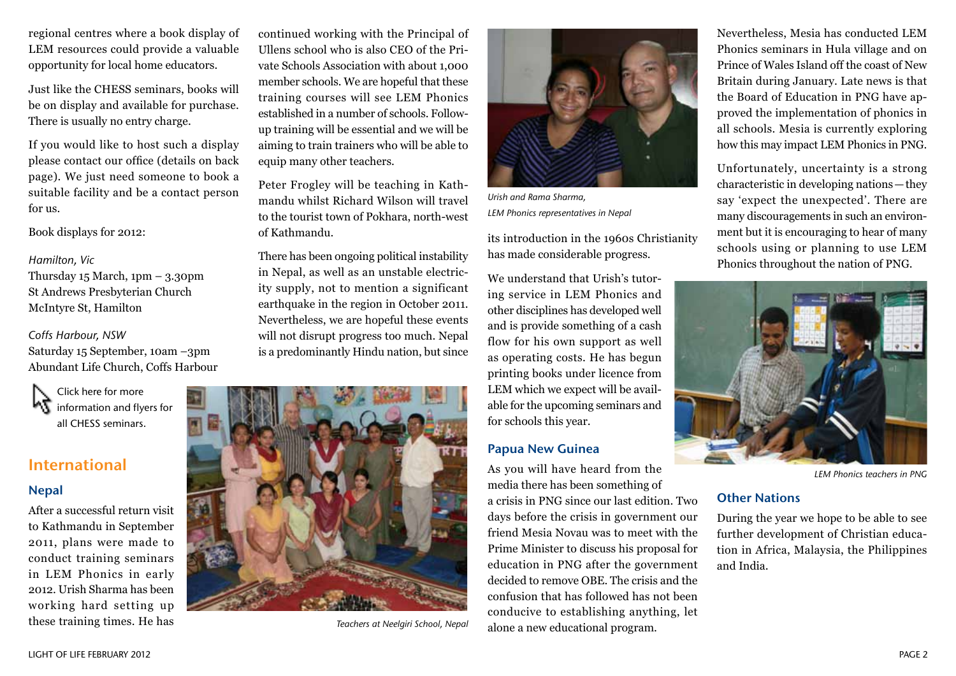regional centres where a book display of LEM resources could provide a valuable opportunity for local home educators.

Just like the CHESS seminars, books will be on display and available for purchase. There is usually no entry charge.

If you would like to host such a display please contact our office (details on back page). We just need someone to book a suitable facility and be a contact person for us.

Book displays for 2012:

#### *Hamilton, Vic*

Thursday  $15$  March,  $1pm - 3.30pm$ St Andrews Presbyterian Church McIntyre St, Hamilton

#### *Coffs Harbour, NSW*

Saturday 15 September, 10am –3pm Abundant Life Church, Coffs Harbour

Click here for more information and flyers for all CHESS seminars.

### International

#### Nepal

After a successful return visit to Kathmandu in September 2011, plans were made to conduct training seminars in LEM Phonics in early 2012. Urish Sharma has been working hard setting up these training times. He has

continued working with the Principal of Ullens school who is also CEO of the Private Schools Association with about 1,000 member schools. We are hopeful that these training courses will see LEM Phonics established in a number of schools. Followup training will be essential and we will be aiming to train trainers who will be able to equip many other teachers.

Peter Frogley will be teaching in Kathmandu whilst Richard Wilson will travel to the tourist town of Pokhara, north-west of Kathmandu.

There has been ongoing political instability in Nepal, as well as an unstable electricity supply, not to mention a significant earthquake in the region in October 2011. Nevertheless, we are hopeful these events will not disrupt progress too much. Nepal is a predominantly Hindu nation, but since



*Teachers at Neelgiri School, Nepal*



*Urish and Rama Sharma, LEM Phonics representatives in Nepal*

its introduction in the 1960s Christianity has made considerable progress.

We understand that Urish's tutoring service in LEM Phonics and other disciplines has developed well and is provide something of a cash flow for his own support as well as operating costs. He has begun printing books under licence from LEM which we expect will be available for the upcoming seminars and for schools this year.

#### Papua New Guinea

As you will have heard from the media there has been something of a crisis in PNG since our last edition. Two days before the crisis in government our friend Mesia Novau was to meet with the Prime Minister to discuss his proposal for education in PNG after the government decided to remove OBE. The crisis and the confusion that has followed has not been conducive to establishing anything, let alone a new educational program.

Nevertheless, Mesia has conducted LEM Phonics seminars in Hula village and on Prince of Wales Island off the coast of New Britain during January. Late news is that the Board of Education in PNG have approved the implementation of phonics in all schools. Mesia is currently exploring how this may impact LEM Phonics in PNG.

Unfortunately, uncertainty is a strong characteristic in developing nations—they say 'expect the unexpected'. There are many discouragements in such an environment but it is encouraging to hear of many schools using or planning to use LEM Phonics throughout the nation of PNG.



*LEM Phonics teachers in PNG*

#### Other Nations

During the year we hope to be able to see further development of Christian education in Africa, Malaysia, the Philippines and India.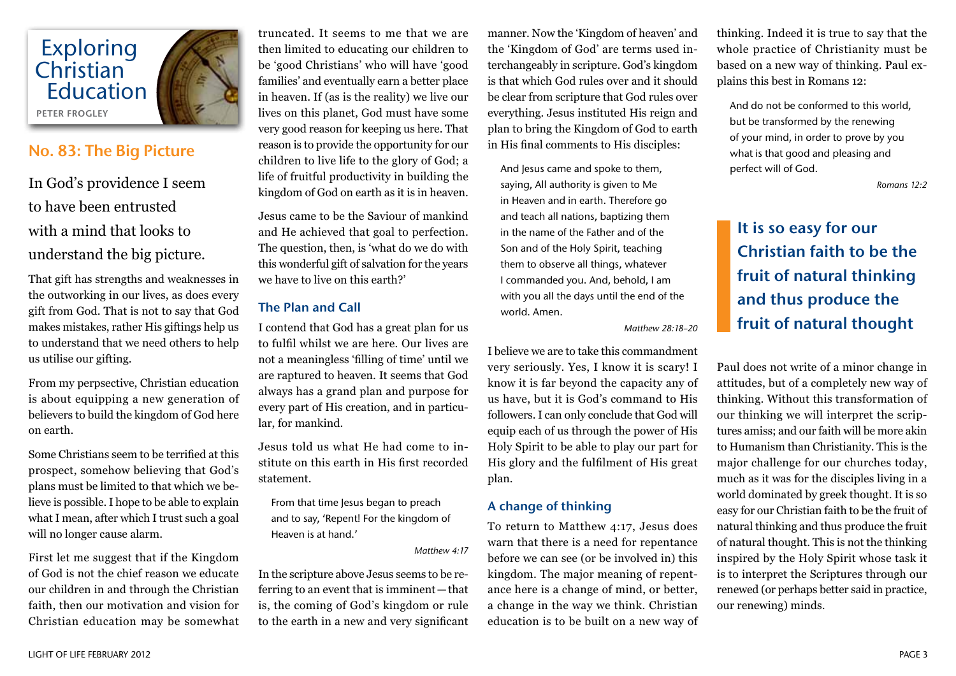

### No. 83: The Big Picture

In God's providence I seem to have been entrusted with a mind that looks to understand the big picture.

That gift has strengths and weaknesses in the outworking in our lives, as does every gift from God. That is not to say that God makes mistakes, rather His giftings help us to understand that we need others to help us utilise our gifting.

From my perpsective, Christian education is about equipping a new generation of believers to build the kingdom of God here on earth.

Some Christians seem to be terrified at this prospect, somehow believing that God's plans must be limited to that which we believe is possible. I hope to be able to explain what I mean, after which I trust such a goal will no longer cause alarm.

First let me suggest that if the Kingdom of God is not the chief reason we educate our children in and through the Christian faith, then our motivation and vision for Christian education may be somewhat

truncated. It seems to me that we are then limited to educating our children to be 'good Christians' who will have 'good families' and eventually earn a better place in heaven. If (as is the reality) we live our lives on this planet, God must have some very good reason for keeping us here. That reason is to provide the opportunity for our children to live life to the glory of God; a life of fruitful productivity in building the kingdom of God on earth as it is in heaven.

Jesus came to be the Saviour of mankind and He achieved that goal to perfection. The question, then, is 'what do we do with this wonderful gift of salvation for the years we have to live on this earth?'

#### The Plan and Call

I contend that God has a great plan for us to fulfil whilst we are here. Our lives are not a meaningless 'filling of time' until we are raptured to heaven. It seems that God always has a grand plan and purpose for every part of His creation, and in particular, for mankind.

Jesus told us what He had come to institute on this earth in His first recorded statement.

From that time Jesus began to preach and to say, 'Repent! For the kingdom of Heaven is at hand.'

*Matthew 4:17*

In the scripture above Jesus seems to be referring to an event that is imminent—that is, the coming of God's kingdom or rule to the earth in a new and very significant

manner. Now the 'Kingdom of heaven' and the 'Kingdom of God' are terms used interchangeably in scripture. God's kingdom is that which God rules over and it should be clear from scripture that God rules over everything. Jesus instituted His reign and plan to bring the Kingdom of God to earth in His final comments to His disciples:

And Jesus came and spoke to them, saying, All authority is given to Me in Heaven and in earth. Therefore go and teach all nations, baptizing them in the name of the Father and of the Son and of the Holy Spirit, teaching them to observe all things, whatever I commanded you. And, behold, I am with you all the days until the end of the world. Amen.

*Matthew 28:18–20*

I believe we are to take this commandment very seriously. Yes, I know it is scary! I know it is far beyond the capacity any of us have, but it is God's command to His followers. I can only conclude that God will equip each of us through the power of His Holy Spirit to be able to play our part for His glory and the fulfilment of His great plan.

#### A change of thinking

To return to Matthew 4:17, Jesus does warn that there is a need for repentance before we can see (or be involved in) this kingdom. The major meaning of repentance here is a change of mind, or better, a change in the way we think. Christian education is to be built on a new way of

thinking. Indeed it is true to say that the whole practice of Christianity must be based on a new way of thinking. Paul explains this best in Romans 12:

And do not be conformed to this world, but be transformed by the renewing of your mind, in order to prove by you what is that good and pleasing and perfect will of God.

*Romans 12:2*

## It is so easy for our Christian faith to be the fruit of natural thinking and thus produce the fruit of natural thought

Paul does not write of a minor change in attitudes, but of a completely new way of thinking. Without this transformation of our thinking we will interpret the scriptures amiss; and our faith will be more akin to Humanism than Christianity. This is the major challenge for our churches today, much as it was for the disciples living in a world dominated by greek thought. It is so easy for our Christian faith to be the fruit of natural thinking and thus produce the fruit of natural thought. This is not the thinking inspired by the Holy Spirit whose task it is to interpret the Scriptures through our renewed (or perhaps better said in practice, our renewing) minds.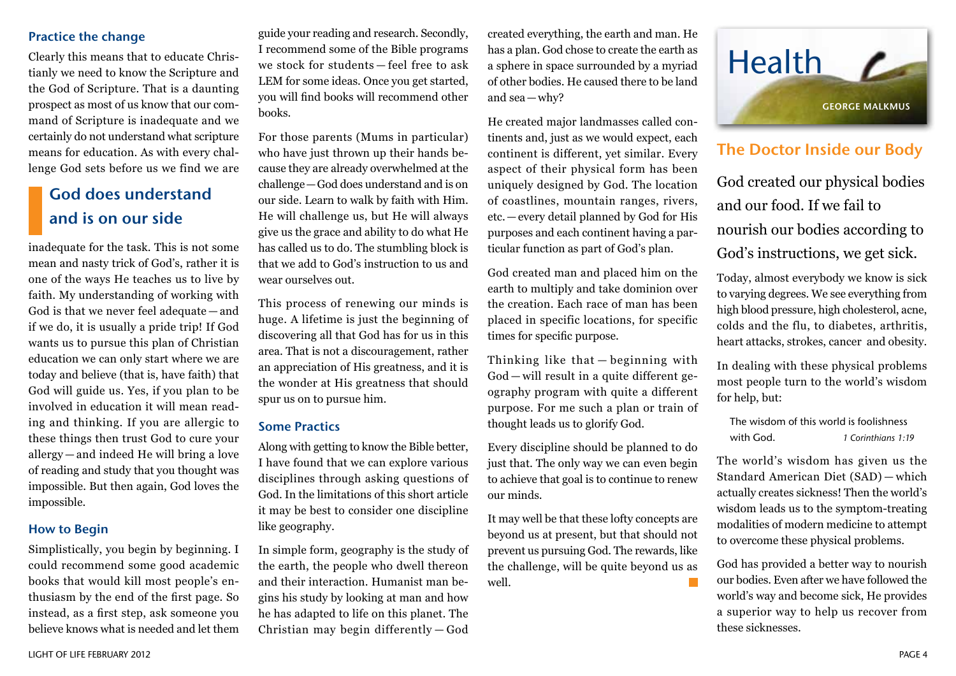#### Practice the change

Clearly this means that to educate Christianly we need to know the Scripture and the God of Scripture. That is a daunting prospect as most of us know that our command of Scripture is inadequate and we certainly do not understand what scripture means for education. As with every challenge God sets before us we find we are

## God does understand and is on our side

inadequate for the task. This is not some mean and nasty trick of God's, rather it is one of the ways He teaches us to live by faith. My understanding of working with God is that we never feel adequate — and if we do, it is usually a pride trip! If God wants us to pursue this plan of Christian education we can only start where we are today and believe (that is, have faith) that God will guide us. Yes, if you plan to be involved in education it will mean reading and thinking. If you are allergic to these things then trust God to cure your allergy — and indeed He will bring a love of reading and study that you thought was impossible. But then again, God loves the impossible.

#### How to Begin

Simplistically, you begin by beginning. I could recommend some good academic books that would kill most people's enthusiasm by the end of the first page. So instead, as a first step, ask someone you believe knows what is needed and let them guide your reading and research. Secondly, I recommend some of the Bible programs we stock for students — feel free to ask LEM for some ideas. Once you get started, you will find books will recommend other books.

For those parents (Mums in particular) who have just thrown up their hands because they are already overwhelmed at the challenge—God does understand and is on our side. Learn to walk by faith with Him. He will challenge us, but He will always give us the grace and ability to do what He has called us to do. The stumbling block is that we add to God's instruction to us and wear ourselves out.

This process of renewing our minds is huge. A lifetime is just the beginning of discovering all that God has for us in this area. That is not a discouragement, rather an appreciation of His greatness, and it is the wonder at His greatness that should spur us on to pursue him.

#### Some Practics

Along with getting to know the Bible better, I have found that we can explore various disciplines through asking questions of God. In the limitations of this short article it may be best to consider one discipline like geography.

In simple form, geography is the study of the earth, the people who dwell thereon and their interaction. Humanist man begins his study by looking at man and how he has adapted to life on this planet. The Christian may begin differently — God

created everything, the earth and man. He has a plan. God chose to create the earth as a sphere in space surrounded by a myriad of other bodies. He caused there to be land and sea—why?

He created major landmasses called continents and, just as we would expect, each continent is different, yet similar. Every aspect of their physical form has been uniquely designed by God. The location of coastlines, mountain ranges, rivers, etc.—every detail planned by God for His purposes and each continent having a particular function as part of God's plan.

God created man and placed him on the earth to multiply and take dominion over the creation. Each race of man has been placed in specific locations, for specific times for specific purpose.

Thinking like that — beginning with God — will result in a quite different geography program with quite a different purpose. For me such a plan or train of thought leads us to glorify God.

Every discipline should be planned to do just that. The only way we can even begin to achieve that goal is to continue to renew our minds.

It may well be that these lofty concepts are beyond us at present, but that should not prevent us pursuing God. The rewards, like the challenge, will be quite beyond us as well.



## The Doctor Inside our Body

God created our physical bodies and our food. If we fail to nourish our bodies according to God's instructions, we get sick.

Today, almost everybody we know is sick to varying degrees. We see everything from high blood pressure, high cholesterol, acne, colds and the flu, to diabetes, arthritis, heart attacks, strokes, cancer and obesity.

In dealing with these physical problems most people turn to the world's wisdom for help, but:

| The wisdom of this world is foolishness |                    |
|-----------------------------------------|--------------------|
| with God.                               | 1 Corinthians 1:19 |

The world's wisdom has given us the Standard American Diet (SAD) — which actually creates sickness! Then the world's wisdom leads us to the symptom-treating modalities of modern medicine to attempt to overcome these physical problems.

God has provided a better way to nourish our bodies. Even after we have followed the world's way and become sick, He provides a superior way to help us recover from these sicknesses.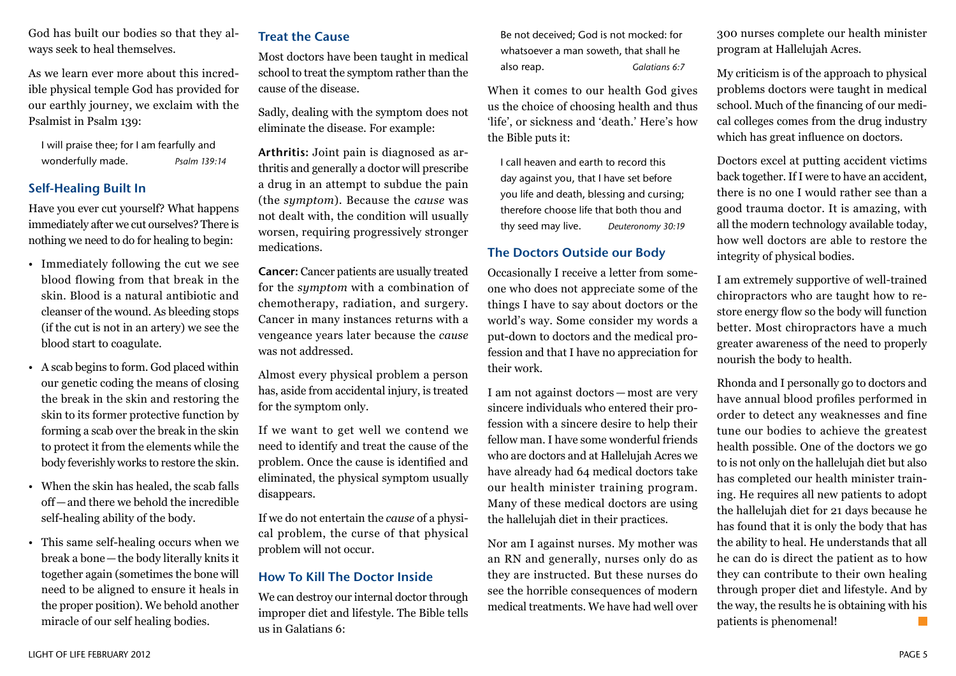God has built our bodies so that they always seek to heal themselves.

As we learn ever more about this incredible physical temple God has provided for our earthly journey, we exclaim with the Psalmist in Psalm 139:

I will praise thee; for I am fearfully and wonderfully made. *Psalm 139:14*

#### Self-Healing Built In

Have you ever cut yourself? What happens immediately after we cut ourselves? There is nothing we need to do for healing to begin:

- Immediately following the cut we see blood flowing from that break in the skin. Blood is a natural antibiotic and cleanser of the wound. As bleeding stops (if the cut is not in an artery) we see the blood start to coagulate.
- A scab begins to form. God placed within our genetic coding the means of closing the break in the skin and restoring the skin to its former protective function by forming a scab over the break in the skin to protect it from the elements while the body feverishly works to restore the skin.
- When the skin has healed, the scab falls off—and there we behold the incredible self-healing ability of the body.
- This same self-healing occurs when we break a bone—the body literally knits it together again (sometimes the bone will need to be aligned to ensure it heals in the proper position). We behold another miracle of our self healing bodies.

#### Treat the Cause

Most doctors have been taught in medical school to treat the symptom rather than the cause of the disease.

Sadly, dealing with the symptom does not eliminate the disease. For example:

Arthritis: Joint pain is diagnosed as arthritis and generally a doctor will prescribe a drug in an attempt to subdue the pain (the *symptom*). Because the *cause* was not dealt with, the condition will usually worsen, requiring progressively stronger medications.

Cancer: Cancer patients are usually treated for the *symptom* with a combination of chemotherapy, radiation, and surgery. Cancer in many instances returns with a vengeance years later because the *cause* was not addressed.

Almost every physical problem a person has, aside from accidental injury, is treated for the symptom only.

If we want to get well we contend we need to identify and treat the cause of the problem. Once the cause is identified and eliminated, the physical symptom usually disappears.

If we do not entertain the *cause* of a physical problem, the curse of that physical problem will not occur.

#### How To Kill The Doctor Inside

We can destroy our internal doctor through improper diet and lifestyle. The Bible tells us in Galatians 6:

Be not deceived; God is not mocked: for whatsoever a man soweth, that shall he also reap. *Galatians 6:7*

When it comes to our health God gives us the choice of choosing health and thus 'life', or sickness and 'death.' Here's how the Bible puts it:

I call heaven and earth to record this day against you, that I have set before you life and death, blessing and cursing; therefore choose life that both thou and thy seed may live. *Deuteronomy 30:19* 

#### The Doctors Outside our Body

Occasionally I receive a letter from someone who does not appreciate some of the things I have to say about doctors or the world's way. Some consider my words a put-down to doctors and the medical profession and that I have no appreciation for their work.

I am not against doctors — most are very sincere individuals who entered their profession with a sincere desire to help their fellow man. I have some wonderful friends who are doctors and at Hallelujah Acres we have already had 64 medical doctors take our health minister training program. Many of these medical doctors are using the hallelujah diet in their practices.

Nor am I against nurses. My mother was an RN and generally, nurses only do as they are instructed. But these nurses do see the horrible consequences of modern medical treatments. We have had well over 300 nurses complete our health minister program at Hallelujah Acres.

My criticism is of the approach to physical problems doctors were taught in medical school. Much of the financing of our medical colleges comes from the drug industry which has great influence on doctors.

Doctors excel at putting accident victims back together. If I were to have an accident, there is no one I would rather see than a good trauma doctor. It is amazing, with all the modern technology available today, how well doctors are able to restore the integrity of physical bodies.

I am extremely supportive of well-trained chiropractors who are taught how to restore energy flow so the body will function better. Most chiropractors have a much greater awareness of the need to properly nourish the body to health.

Rhonda and I personally go to doctors and have annual blood profiles performed in order to detect any weaknesses and fine tune our bodies to achieve the greatest health possible. One of the doctors we go to is not only on the hallelujah diet but also has completed our health minister training. He requires all new patients to adopt the hallelujah diet for 21 days because he has found that it is only the body that has the ability to heal. He understands that all he can do is direct the patient as to how they can contribute to their own healing through proper diet and lifestyle. And by the way, the results he is obtaining with his patients is phenomenal!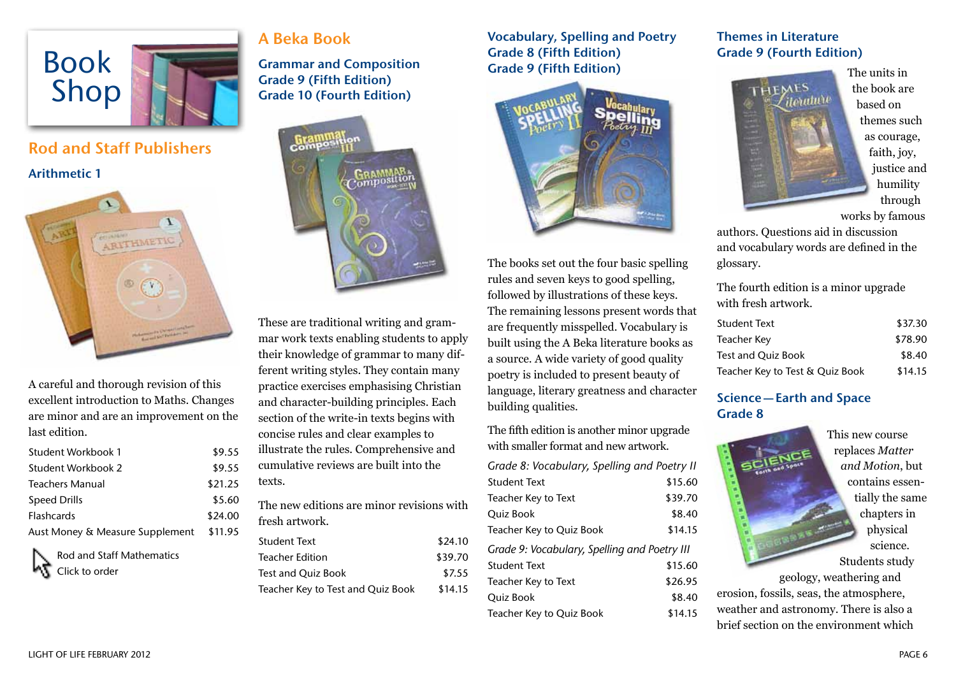

# Rod and Staff Publishers

Arithmetic 1



A careful and thorough revision of this excellent introduction to Maths. Changes are minor and are an improvement on the last edition.

| Student Workbook 1              | \$9.55  |
|---------------------------------|---------|
| Student Workbook 2              | \$9.55  |
| <b>Teachers Manual</b>          | \$21.25 |
| Speed Drills                    | \$5.60  |
| <b>Flashcards</b>               | \$24.00 |
| Aust Money & Measure Supplement | \$11.95 |



## A Beka Book

Grammar and Composition Grade 9 (Fifth Edition) Grade 10 (Fourth Edition)



These are traditional writing and grammar work texts enabling students to apply their knowledge of grammar to many different writing styles. They contain many practice exercises emphasising Christian and character-building principles. Each section of the write-in texts begins with concise rules and clear examples to illustrate the rules. Comprehensive and cumulative reviews are built into the texts.

The new editions are minor revisions with fresh artwork.

| Student Text                      | \$24.10 |
|-----------------------------------|---------|
| <b>Teacher Edition</b>            | \$39.70 |
| Test and Quiz Book                | \$7.55  |
| Teacher Key to Test and Quiz Book | \$14.15 |

Vocabulary, Spelling and Poetry Grade 8 (Fifth Edition) Grade 9 (Fifth Edition)



The books set out the four basic spelling rules and seven keys to good spelling, followed by illustrations of these keys. The remaining lessons present words that are frequently misspelled. Vocabulary is built using the A Beka literature books as a source. A wide variety of good quality poetry is included to present beauty of language, literary greatness and character building qualities.

The fifth edition is another minor upgrade with smaller format and new artwork.

| Grade 8: Vocabulary, Spelling and Poetry II  |         |
|----------------------------------------------|---------|
| <b>Student Text</b>                          | \$15.60 |
| Teacher Key to Text                          | \$39.70 |
| Quiz Book                                    | \$8.40  |
| Teacher Key to Quiz Book                     | \$14.15 |
| Grade 9: Vocabulary, Spelling and Poetry III |         |
| <b>Student Text</b>                          | \$15.60 |
| Teacher Key to Text                          | \$26.95 |
| Quiz Book                                    | \$8.40  |
| Teacher Key to Quiz Book                     | \$14.15 |

### Themes in Literature Grade 9 (Fourth Edition)



The units in the book are based on themes such as courage, faith, joy, justice and humility through works by famous

authors. Questions aid in discussion and vocabulary words are defined in the glossary.

The fourth edition is a minor upgrade with fresh artwork.

| <b>Student Text</b>             | \$37.30 |
|---------------------------------|---------|
| Teacher Key                     | \$78.90 |
| <b>Test and Ouiz Book</b>       | \$8.40  |
| Teacher Key to Test & Quiz Book | \$14.15 |

### Science—Earth and Space Grade 8

This new course replaces *Matter and Motion*, but contains essentially the same chapters in physical science. Students study geology, weathering and erosion, fossils, seas, the atmosphere, weather and astronomy. There is also a brief section on the environment which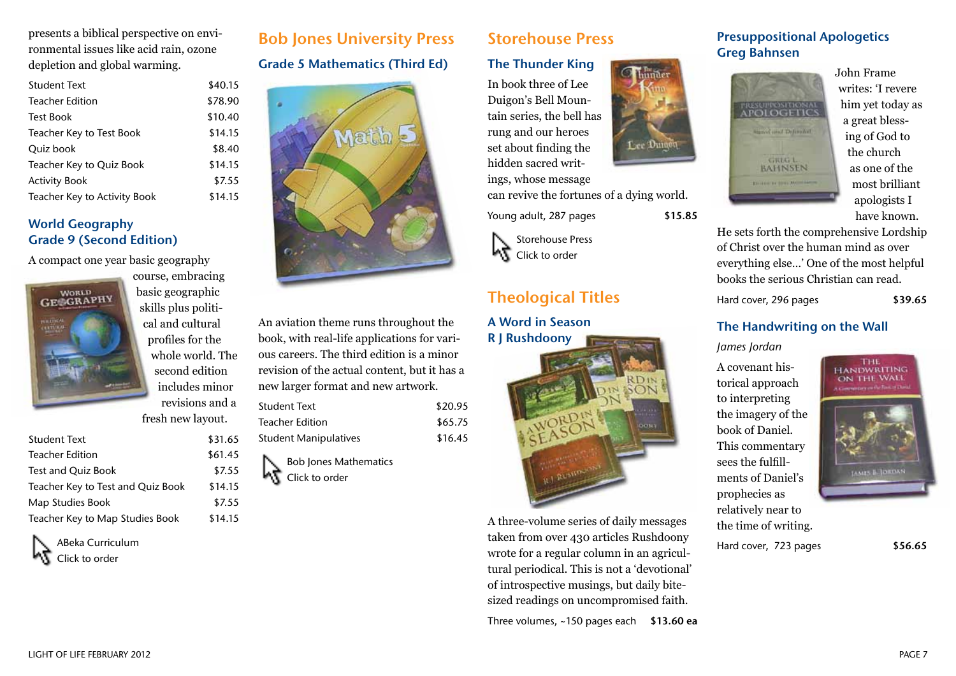presents a biblical perspective on environmental issues like acid rain, ozone depletion and global warming.

| Teacher Edition<br><b>Test Book</b> | \$78.90 |
|-------------------------------------|---------|
|                                     |         |
|                                     | \$10.40 |
| Teacher Key to Test Book            | \$14.15 |
| Ouiz book                           | \$8.40  |
| Teacher Key to Quiz Book            | \$14.15 |
| <b>Activity Book</b>                | \$7.55  |
| Teacher Key to Activity Book        | \$14.15 |

#### World Geography Grade 9 (Second Edition)

A compact one year basic geography



course, embracing basic geographic skills plus political and cultural profiles for the whole world. The second edition includes minor revisions and a

fresh new layout.

| \$31.65 |
|---------|
| \$61.45 |
| \$7.55  |
| \$14.15 |
| \$7.55  |
| \$14.15 |
|         |

ABeka Curriculum Click to order

## Bob Jones University Press

Grade 5 Mathematics (Third Ed)



An aviation theme runs throughout the book, with real-life applications for various careers. The third edition is a minor revision of the actual content, but it has a new larger format and new artwork.

| Student Text                 | \$20.95 |
|------------------------------|---------|
| <b>Teacher Edition</b>       | \$65.75 |
| <b>Student Manipulatives</b> | \$16.45 |



## Storehouse Press

#### The Thunder King

In book three of Lee Duigon's Bell Mountain series, the bell has rung and our heroes set about finding the hidden sacred writ-

ings, whose message can revive the fortunes of a dying world.

Young adult, 287 pages \$15.85



## Theological Titles

A Word in Season R J Rushdoony



A three-volume series of daily messages taken from over 430 articles Rushdoony wrote for a regular column in an agricultural periodical. This is not a 'devotional' of introspective musings, but daily bitesized readings on uncompromised faith.

Three volumes,  $~150$  pages each \$13.60 ea





John Frame writes: 'I revere him yet today as a great blessing of God to the church as one of the most brilliant apologists I have known.

He sets forth the comprehensive Lordship of Christ over the human mind as over everything else…' One of the most helpful books the serious Christian can read.

Hard cover, 296 pages \$39.65

#### The Handwriting on the Wall

*James Jordan*

A covenant historical approach to interpreting the imagery of the book of Daniel. This commentary sees the fulfillments of Daniel's prophecies as relatively near to the time of writing.



Hard cover, 723 pages \$56.65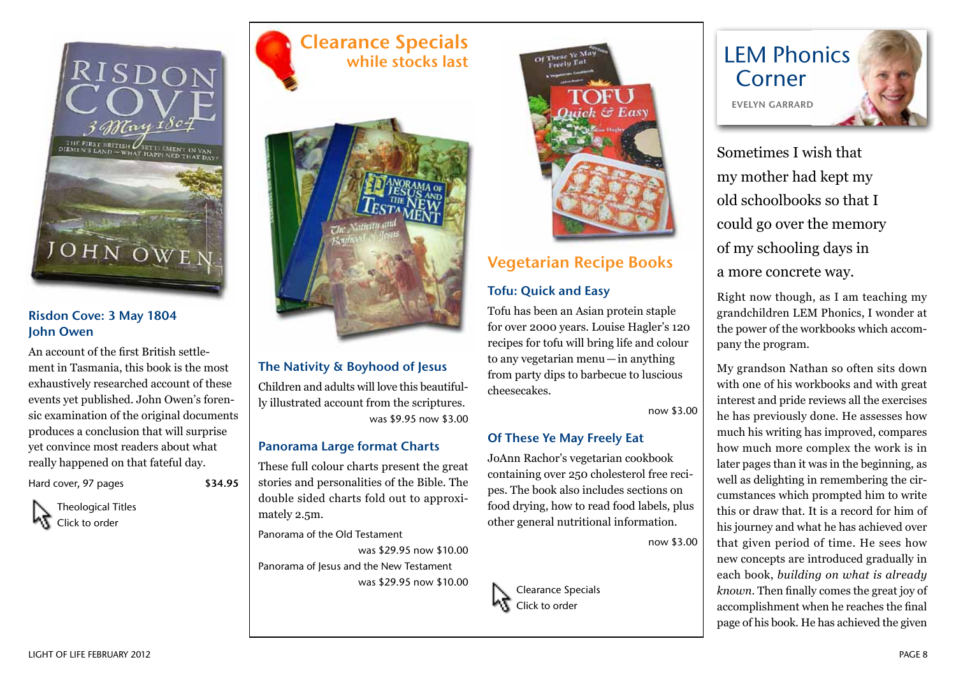

#### Risdon Cove: 3 May 1804 John Owen

An account of the first British settlement in Tasmania, this book is the most exhaustively researched account of these events yet published. John Owen's forensic examination of the original documents produces a conclusion that will surprise yet convince most readers about what really happened on that fateful day.

Hard cover, 97 pages \$34.95

Theological Titles ۷L Click to order

## Clearance Specials while stocks last



#### The Nativity & Boyhood of Jesus

Children and adults will love this beautifully illustrated account from the scriptures. was \$9.95 now \$3.00

#### Panorama Large format Charts

These full colour charts present the great stories and personalities of the Bible. The double sided charts fold out to approximately 2.5m.

Panorama of the Old Testament

was \$29.95 now \$10.00 Panorama of Jesus and the New Testament was \$29.95 now \$10.00



## Vegetarian Recipe Books

### Tofu: Quick and Easy

Tofu has been an Asian protein staple for over 2000 years. Louise Hagler's 120 recipes for tofu will bring life and colour to any vegetarian menu—in anything from party dips to barbecue to luscious cheesecakes.

now \$3.00

### Of These Ye May Freely Eat

Clearance Specials Click to order

JoAnn Rachor's vegetarian cookbook containing over 250 cholesterol free recipes. The book also includes sections on food drying, how to read food labels, plus other general nutritional information.

now \$3.00



Sometimes I wish that my mother had kept my old schoolbooks so that I could go over the memory of my schooling days in a more concrete way.

Right now though, as I am teaching my grandchildren LEM Phonics, I wonder at the power of the workbooks which accompany the program.

My grandson Nathan so often sits down with one of his workbooks and with great interest and pride reviews all the exercises he has previously done. He assesses how much his writing has improved, compares how much more complex the work is in later pages than it was in the beginning, as well as delighting in remembering the circumstances which prompted him to write this or draw that. It is a record for him of his journey and what he has achieved over that given period of time. He sees how new concepts are introduced gradually in each book, *building on what is already known*. Then finally comes the great joy of accomplishment when he reaches the final page of his book. He has achieved the given